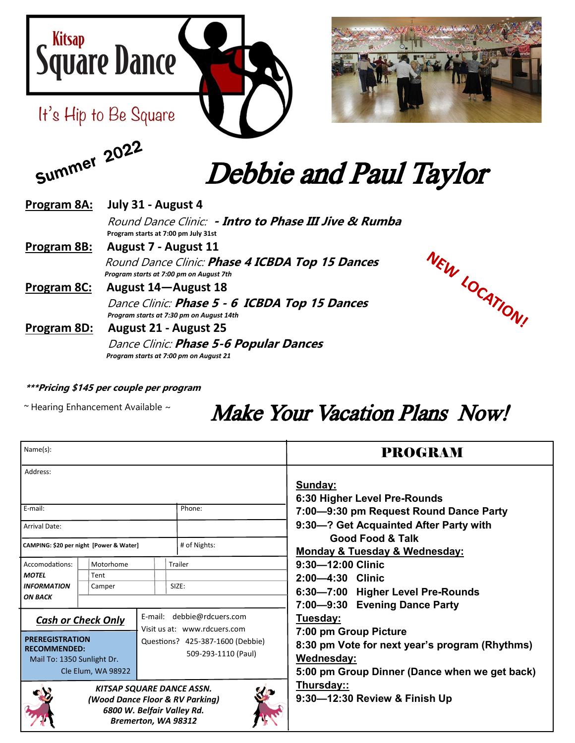



Summer 2022



# Debbie and Paul Taylor

| Program 8A:        | July 31 - August 4                                                                           |
|--------------------|----------------------------------------------------------------------------------------------|
|                    | Round Dance Clinic: • Intro to Phase III Jive & Rumba<br>Program starts at 7:00 pm July 31st |
| Program 8B:        | August 7 - August 11                                                                         |
|                    | Round Dance Clinic: Phase 4 ICBDA Top 15 Dances<br>Program starts at 7:00 pm on August 7th   |
| <u>Program 8C:</u> | August 14-August 18                                                                          |
|                    | Dance Clinic: Phase 5 - 6 ICBDA Top 15 Dances<br>Program starts at 7:30 pm on August 14th    |
| Program 8D:        | August 21 - August 25                                                                        |
|                    | Dance Clinic: <b>Phase 5-6 Popular Dances</b><br>Program starts at 7:00 pm on August 21      |



#### **\*\*\*Pricing \$145 per couple per program**

 $\sim$  Hearing Enhancement Available  $\sim$ 

## Make Your Vacation Plans Now!

| Name(s):                                                                                                                        |        |                            |                                               |                              | <b>PROGRAM</b>                                               |
|---------------------------------------------------------------------------------------------------------------------------------|--------|----------------------------|-----------------------------------------------|------------------------------|--------------------------------------------------------------|
| Address:                                                                                                                        |        |                            |                                               |                              | Sunday:<br>6:30 Higher Level Pre-Rounds                      |
| E-mail:                                                                                                                         |        |                            |                                               | Phone:                       | 7:00-9:30 pm Request Round Dance Party                       |
| <b>Arrival Date:</b>                                                                                                            |        |                            |                                               |                              | 9:30-? Get Acquainted After Party with                       |
| CAMPING: \$20 per night [Power & Water]                                                                                         |        |                            |                                               | # of Nights:                 | <b>Good Food &amp; Talk</b><br>Monday & Tuesday & Wednesday: |
| Motorhome<br>Accomodations:                                                                                                     |        |                            |                                               | Trailer                      | $9:30 - 12:00$ Clinic                                        |
| <b>MOTEL</b>                                                                                                                    | Tent   |                            |                                               |                              | 2:00-4:30 Clinic                                             |
| <b>INFORMATION</b><br><b>ON BACK</b>                                                                                            | Camper |                            |                                               | SIZE:                        | 6:30-7:00 Higher Level Pre-Rounds                            |
|                                                                                                                                 |        |                            |                                               |                              | 7:00-9:30 Evening Dance Party                                |
| <b>Cash or Check Only</b>                                                                                                       |        | E-mail: debbie@rdcuers.com | Tuesday:                                      |                              |                                                              |
|                                                                                                                                 |        |                            |                                               | Visit us at: www.rdcuers.com | 7:00 pm Group Picture                                        |
| <b>PREREGISTRATION</b><br><b>RECOMMENDED:</b>                                                                                   |        |                            | Questions? 425-387-1600 (Debbie)              |                              | 8:30 pm Vote for next year's program (Rhythms)               |
| Mail To: 1350 Sunlight Dr.                                                                                                      |        | 509-293-1110 (Paul)        | Wednesday:                                    |                              |                                                              |
| Cle Elum, WA 98922                                                                                                              |        |                            | 5:00 pm Group Dinner (Dance when we get back) |                              |                                                              |
| KITSAP SQUARE DANCE ASSN.<br><b>Lip</b><br>(Wood Dance Floor & RV Parking)<br>6800 W. Belfair Valley Rd.<br>Bremerton, WA 98312 |        |                            |                                               |                              | <u>Thursday::</u><br>9:30-12:30 Review & Finish Up           |